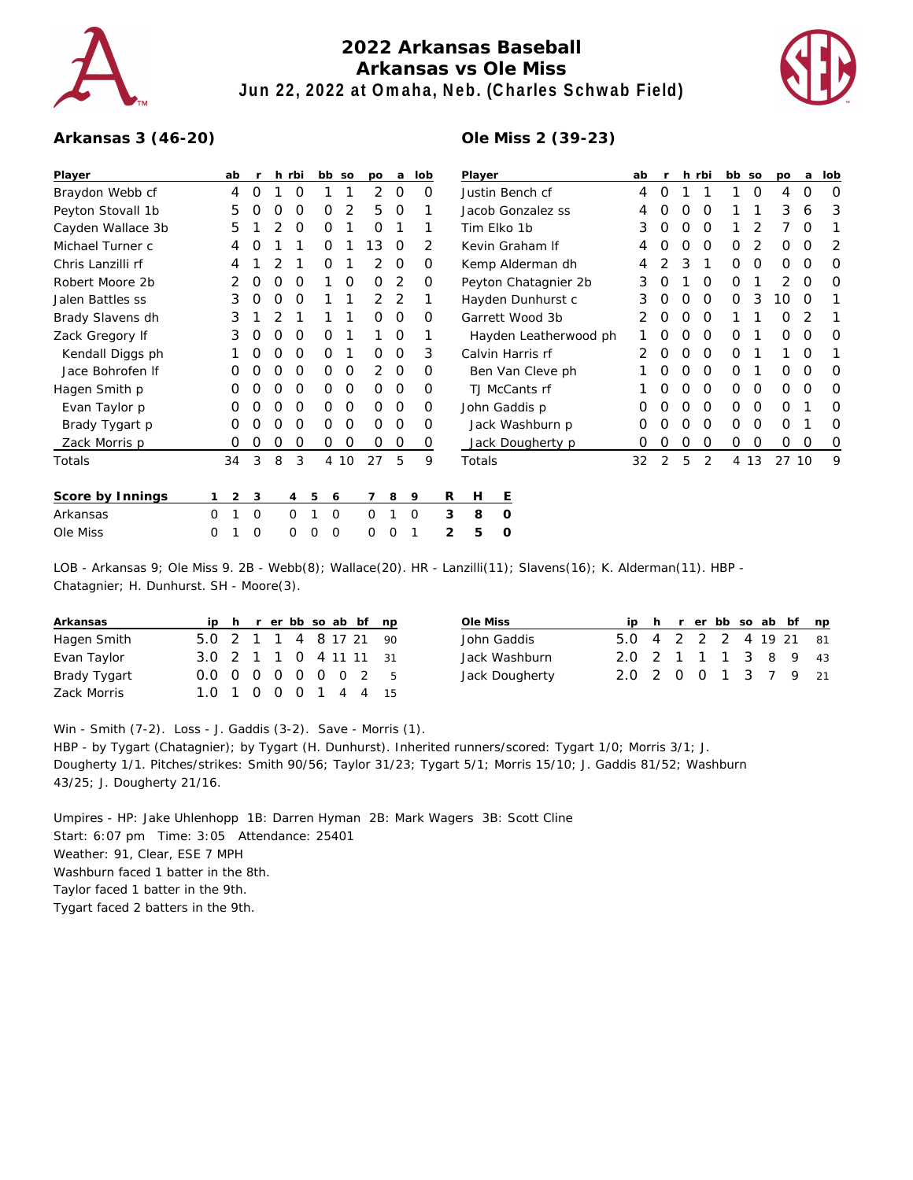

## **2022 Arkansas Baseball Arkansas vs Ole Miss Jun 22, 2022 at Omaha, Neb. (Charles Schwab Field)**



## **Arkansas 3 (46-20)**

## **Ole Miss 2 (39-23)**

| Player            | ab |                | r |   | h rbi          |                | bb so       | po             | a              | lob         |   | Player            |                       |   | ab |                |   | h rbi         | bb so    |      | po | a        | lob |
|-------------------|----|----------------|---|---|----------------|----------------|-------------|----------------|----------------|-------------|---|-------------------|-----------------------|---|----|----------------|---|---------------|----------|------|----|----------|-----|
| Braydon Webb cf   | 4  |                | 0 |   | O              |                |             | 2              | $\circ$        | 0           |   | Justin Bench cf   |                       |   |    | 0              |   |               |          | 0    | 4  | 0        | 0   |
| Peyton Stovall 1b | 5  |                | O | Ο | O              | 0              | 2           | 5              | 0              | 1           |   | Jacob Gonzalez ss | 4                     | Ο | Ο  | 0              |   |               | 3        | 6    | 3  |          |     |
| Cayden Wallace 3b | 5  |                |   |   | O              | 0              |             | Ο              |                |             |   | Tim Elko 1b       | 3                     | Ο | 0  | 0              |   |               |          | O    |    |          |     |
| Michael Turner c  | 4  |                | O |   |                | 0              |             | 13             | 0              | 2           |   | Kevin Graham If   | 4                     | O | 0  | 0              | 0 | 2             | 0        | 0    | 2  |          |     |
| Chris Lanzilli rf | 4  |                |   |   |                | 0              |             | $\overline{2}$ | 0              | 0           |   |                   | Kemp Alderman dh      |   | 4  |                | 3 |               | 0        | 0    | 0  | 0        | 0   |
| Robert Moore 2b   | 2  |                | 0 | 0 | 0              |                | O           | $\Omega$       | 2              | 0           |   |                   | Peyton Chatagnier 2b  |   | 3  | O              |   | O             | 0        |      | 2  | $\Omega$ | O   |
| Jalen Battles ss  | 3  |                | Ο | Ο | O              |                |             | $\overline{2}$ | 2              |             |   |                   | Hayden Dunhurst c     |   | 3  |                | 0 | O             | 0        | 3    | 10 | $\Omega$ |     |
| Brady Slavens dh  | 3  |                |   |   |                |                |             | 0              | 0              | 0           |   |                   | Garrett Wood 3b       |   | 2. | 0              | 0 | O             |          |      | 0  | 2        |     |
| Zack Gregory If   | 3  |                | O | 0 | 0              | 0              |             |                | 0              |             |   |                   | Hayden Leatherwood ph |   |    | Ο              | 0 | 0             | $\Omega$ |      | 0  | O        | 0   |
| Kendall Diggs ph  |    |                | O | Ο | 0              | 0              |             | 0              | $\mathbf 0$    | 3           |   |                   | Calvin Harris rf      |   | 2  | O              | 0 | $\Omega$      | $\Omega$ |      |    | O        |     |
| Jace Bohrofen If  |    |                | Ο | 0 | O              | 0              | O           | $\overline{2}$ | $\Omega$       | 0           |   |                   | Ben Van Cleve ph      |   |    |                | 0 | $\Omega$      | 0        |      | O  | O        | O   |
| Hagen Smith p     | Ο  |                | Ο | Ο | O              | 0              | 0           | $\Omega$       | 0              | 0           |   |                   | TJ McCants rf         |   |    |                | 0 | 0             | 0        | 0    | O  | O        | 0   |
| Evan Taylor p     | 0  |                | Ο | Ο | O              | 0              | 0           | $\Omega$       | $\overline{0}$ | 0           |   |                   | John Gaddis p         |   | 0  | O              | 0 | $\mathcal{O}$ | 0        | 0    | O  |          | O   |
| Brady Tygart p    | O  |                | O | Ο | 0              | 0              | 0           | O              | 0              | 0           |   |                   | Jack Washburn p       |   | O  |                | Ο | 0             | 0        | 0    | O  |          | O   |
| Zack Morris p     | 0  |                | 0 | O | 0              | 0              | $\mathbf 0$ | 0              | 0              | 0           |   |                   | Jack Dougherty p      |   | 0  | 0              | 0 | 0             | 0        | 0    | 0  | 0        | 0   |
| Totals            | 34 |                | 3 | 8 | 3              | $\overline{4}$ | 10          | 27             | 5              | 9           |   | Totals            |                       |   | 32 | $\overline{2}$ | 5 | 2             |          | 4 13 | 27 | 10       | 9   |
| Score by Innings  |    | $\overline{2}$ | 3 |   | $\overline{4}$ | 5<br>6         |             |                | 8              | 9           | R | Н                 | Ε                     |   |    |                |   |               |          |      |    |          |     |
| Arkansas          | 0  |                | O |   | 0              |                | 0           | 0              |                | $\mathbf 0$ | 3 | 8                 | $\circ$               |   |    |                |   |               |          |      |    |          |     |
| Ole Miss          | O  |                | 0 |   | 0              | 0<br>0         |             | 0              |                |             | 2 | 5                 | 0                     |   |    |                |   |               |          |      |    |          |     |

LOB - Arkansas 9; Ole Miss 9. 2B - Webb(8); Wallace(20). HR - Lanzilli(11); Slavens(16); K. Alderman(11). HBP -Chatagnier; H. Dunhurst. SH - Moore(3).

| Arkansas     |                        |  |  |  | ip h r er bb so ab bf np |
|--------------|------------------------|--|--|--|--------------------------|
| Hagen Smith  | 5.0 2 1 1 4 8 17 21 90 |  |  |  |                          |
| Evan Taylor  | 3.0 2 1 1 0 4 11 11 31 |  |  |  |                          |
| Brady Tygart | 0.0 0 0 0 0 0 0 2 5    |  |  |  |                          |
| Zack Morris  | 1.0 1 0 0 0 1 4 4      |  |  |  | 15                       |

| Ole Miss       |                        |  |  |  | ip h r er bb so ab bf np |
|----------------|------------------------|--|--|--|--------------------------|
| John Gaddis    | 5.0 4 2 2 2 4 19 21 81 |  |  |  |                          |
| Jack Washburn  | 2.0 2 1 1 1 3 8 9 43   |  |  |  |                          |
| Jack Dougherty | 2.0 2 0 0 1 3 7 9 21   |  |  |  |                          |

Win - Smith (7-2). Loss - J. Gaddis (3-2). Save - Morris (1).

HBP - by Tygart (Chatagnier); by Tygart (H. Dunhurst). Inherited runners/scored: Tygart 1/0; Morris 3/1; J. Dougherty 1/1. Pitches/strikes: Smith 90/56; Taylor 31/23; Tygart 5/1; Morris 15/10; J. Gaddis 81/52; Washburn 43/25; J. Dougherty 21/16.

Umpires - HP: Jake Uhlenhopp 1B: Darren Hyman 2B: Mark Wagers 3B: Scott Cline Start: 6:07 pm Time: 3:05 Attendance: 25401 Weather: 91, Clear, ESE 7 MPH Washburn faced 1 batter in the 8th. Taylor faced 1 batter in the 9th. Tygart faced 2 batters in the 9th.